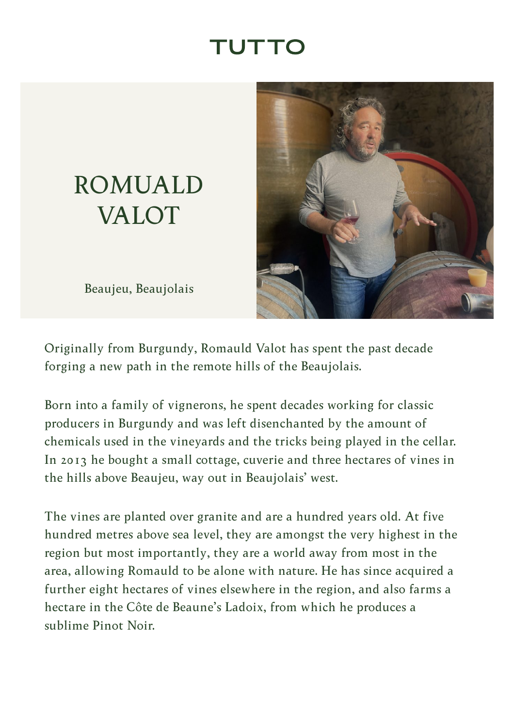## TUTTC

## <span id="page-0-0"></span>ROMUALD VALOT

Beaujeu, Beaujolais



Originally from Burgundy, Romauld Valot has spent the past decade forging a new path in the remote hills of the Beaujolais.

Born into a family of vignerons, he spent decades working for classic producers in Burgundy and was left disenchanted by the amount of chemicals used in the vineyards and the tricks being played in the cellar. In 2013 he bought a small cottage, cuverie and three hectares of vines in the hills above Beaujeu, way out in Beaujolais' west.

The vines are planted over granite and are a hundred years old. At five hundred metres above sea level, they are amongst the very highest in the region but most importantly, they are a world away from most in the area, allowing Romauld to be alone with nature. He has since acquired a further eight hectares of vines elsewhere in the region, and also farms a hectare in the Côte de Beaune's Ladoix, from which he produces a sublime Pinot Noir.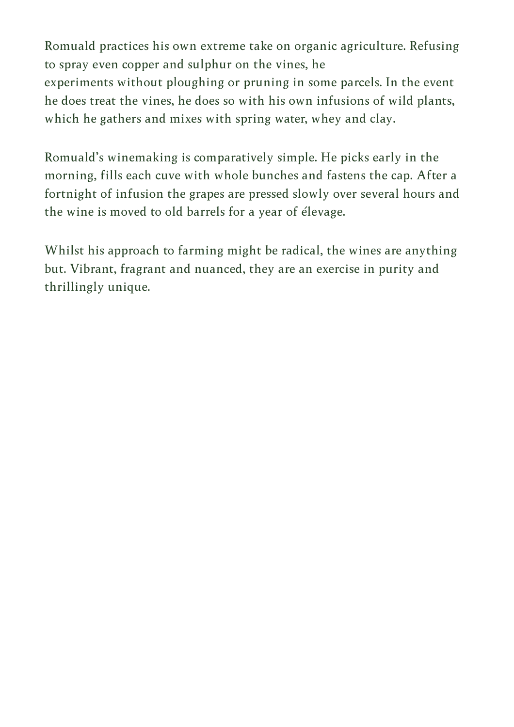Romuald practices his own extreme take on organic agriculture. Refusing to spray even copper and sulphur on the vines, he experiments without ploughing or pruning in some parcels. In the event he does treat the vines, he does so with his own infusions of wild plants, which he gathers and mixes with spring water, whey and clay.

Romuald's winemaking is comparatively simple. He picks early in the morning, fills each cuve with whole bunches and fastens the cap. After a fortnight of infusion the grapes are pressed slowly over several hours and the wine is moved to old barrels for a year of élevage.

Whilst his approach to farming might be radical, the wines are anything but. Vibrant, fragrant and nuanced, they are an exercise in purity and thrillingly unique.